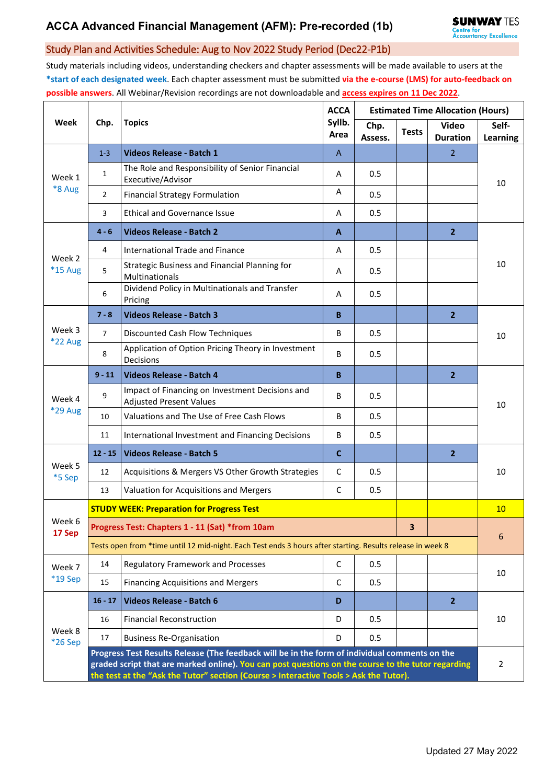## Study Plan and Activities Schedule: Aug to Nov 2022 Study Period (Dec22-P1b)

Study materials including videos, understanding checkers and chapter assessments will be made available to users at the **\*start of each designated week**. Each chapter assessment must be submitted **via the e-course (LMS) for auto-feedback on possible answers**. All Webinar/Revision recordings are not downloadable and **access expires on 11 Dec 2022**.

| Week                     | Chp.                                                                                                                                                                                                                                                                                         | <b>Topics</b>                                                                     | <b>ACCA</b><br>Syllb.<br>Area | <b>Estimated Time Allocation (Hours)</b> |              |                                 |                          |  |  |
|--------------------------|----------------------------------------------------------------------------------------------------------------------------------------------------------------------------------------------------------------------------------------------------------------------------------------------|-----------------------------------------------------------------------------------|-------------------------------|------------------------------------------|--------------|---------------------------------|--------------------------|--|--|
|                          |                                                                                                                                                                                                                                                                                              |                                                                                   |                               | Chp.<br>Assess.                          | <b>Tests</b> | <b>Video</b><br><b>Duration</b> | Self-<br><b>Learning</b> |  |  |
| Week 1<br>*8 Aug         | $1 - 3$                                                                                                                                                                                                                                                                                      | Videos Release - Batch 1                                                          | $\mathsf{A}$                  |                                          |              | $\overline{2}$                  | 10                       |  |  |
|                          | $\mathbf{1}$                                                                                                                                                                                                                                                                                 | The Role and Responsibility of Senior Financial<br>Executive/Advisor              | A                             | 0.5                                      |              |                                 |                          |  |  |
|                          | $\overline{2}$                                                                                                                                                                                                                                                                               | <b>Financial Strategy Formulation</b>                                             | Α                             | 0.5                                      |              |                                 |                          |  |  |
|                          | 3                                                                                                                                                                                                                                                                                            | <b>Ethical and Governance Issue</b>                                               | A                             | 0.5                                      |              |                                 |                          |  |  |
| Week 2<br>*15 Aug        | $4 - 6$                                                                                                                                                                                                                                                                                      | <b>Videos Release - Batch 2</b>                                                   | A                             |                                          |              | 2 <sup>2</sup>                  | 10                       |  |  |
|                          | 4                                                                                                                                                                                                                                                                                            | International Trade and Finance                                                   | Α                             | 0.5                                      |              |                                 |                          |  |  |
|                          | 5                                                                                                                                                                                                                                                                                            | Strategic Business and Financial Planning for<br>Multinationals                   | A                             | 0.5                                      |              |                                 |                          |  |  |
|                          | 6                                                                                                                                                                                                                                                                                            | Dividend Policy in Multinationals and Transfer<br>Pricing                         | A                             | 0.5                                      |              |                                 |                          |  |  |
| Week 3<br>*22 Aug        | $7 - 8$                                                                                                                                                                                                                                                                                      | <b>Videos Release - Batch 3</b>                                                   | B                             |                                          |              | $\overline{2}$                  | 10                       |  |  |
|                          | $\overline{7}$                                                                                                                                                                                                                                                                               | Discounted Cash Flow Techniques                                                   | B                             | 0.5                                      |              |                                 |                          |  |  |
|                          | 8                                                                                                                                                                                                                                                                                            | Application of Option Pricing Theory in Investment<br>Decisions                   | B                             | 0.5                                      |              |                                 |                          |  |  |
| Week 4<br><b>*29 Aug</b> | $9 - 11$                                                                                                                                                                                                                                                                                     | Videos Release - Batch 4                                                          | B                             |                                          |              | $\overline{2}$                  | 10                       |  |  |
|                          | 9                                                                                                                                                                                                                                                                                            | Impact of Financing on Investment Decisions and<br><b>Adjusted Present Values</b> | B                             | 0.5                                      |              |                                 |                          |  |  |
|                          | 10                                                                                                                                                                                                                                                                                           | Valuations and The Use of Free Cash Flows                                         | B                             | 0.5                                      |              |                                 |                          |  |  |
|                          | 11                                                                                                                                                                                                                                                                                           | International Investment and Financing Decisions                                  | B                             | 0.5                                      |              |                                 |                          |  |  |
| Week 5<br>*5 Sep         | $12 - 15$                                                                                                                                                                                                                                                                                    | <b>Videos Release - Batch 5</b>                                                   | C                             |                                          |              | $\overline{2}$                  | 10                       |  |  |
|                          | 12                                                                                                                                                                                                                                                                                           | Acquisitions & Mergers VS Other Growth Strategies                                 | C                             | 0.5                                      |              |                                 |                          |  |  |
|                          | 13                                                                                                                                                                                                                                                                                           | Valuation for Acquisitions and Mergers                                            | $\mathsf{C}$                  | 0.5                                      |              |                                 |                          |  |  |
| Week 6<br>17 Sep         | <b>STUDY WEEK: Preparation for Progress Test</b>                                                                                                                                                                                                                                             |                                                                                   |                               |                                          |              |                                 |                          |  |  |
|                          |                                                                                                                                                                                                                                                                                              | Progress Test: Chapters 1 - 11 (Sat) *from 10am                                   | 3                             |                                          | 6            |                                 |                          |  |  |
|                          | Tests open from *time until 12 mid-night. Each Test ends 3 hours after starting. Results release in week 8                                                                                                                                                                                   |                                                                                   |                               |                                          |              |                                 |                          |  |  |
| Week 7<br>*19 Sep        | 14                                                                                                                                                                                                                                                                                           | <b>Regulatory Framework and Processes</b>                                         | $\mathsf{C}$                  | 0.5                                      |              |                                 | 10                       |  |  |
|                          | 15                                                                                                                                                                                                                                                                                           | <b>Financing Acquisitions and Mergers</b>                                         | C                             | 0.5                                      |              |                                 |                          |  |  |
| Week 8<br>*26 Sep        | $16 - 17$                                                                                                                                                                                                                                                                                    | <b>Videos Release - Batch 6</b>                                                   | D                             |                                          |              | $\mathbf{2}$                    | 10                       |  |  |
|                          | 16                                                                                                                                                                                                                                                                                           | <b>Financial Reconstruction</b>                                                   | D                             | 0.5                                      |              |                                 |                          |  |  |
|                          | 17                                                                                                                                                                                                                                                                                           | <b>Business Re-Organisation</b>                                                   | D                             | 0.5                                      |              |                                 |                          |  |  |
|                          | Progress Test Results Release (The feedback will be in the form of individual comments on the<br>graded script that are marked online). You can post questions on the course to the tutor regarding<br>the test at the "Ask the Tutor" section (Course > Interactive Tools > Ask the Tutor). |                                                                                   |                               |                                          |              |                                 |                          |  |  |